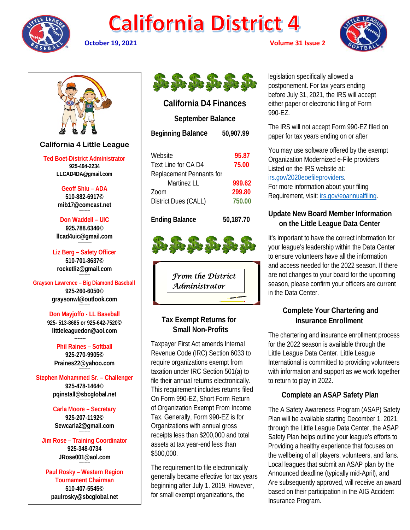

# **California District 4**



**October 19, 2021 Volume 31 Issue 2**



# **California 4 Little League**

**Ted Boet-District Administrator 925-494-2234 LLCAD4DA@gmail.com**

> **Geoff Shiu – ADA 510-882-6917© [mib17@comcast.net](mailto:mib17@comcast.net)**

**Don Waddell – UIC 925.788.6346© [llcad4uic@gmail.com](mailto:llcad4uic@gmail.com)**

**Liz Berg – Safety Officer 510-701-8637© [rocketliz@gmail.com](mailto:rocketliz@gmail.com)**

**Grayson Lawrence – Big Diamond Baseball 925-260-6050© graysonwl@outlook.com**

**--------------------**

**Don Mayjoffo - LL Baseball 925- 513-8685 or 925-642-7520© littleleaguedon@aol.com -------**

> **Phil Raines – Softball 925-270-9905© [Praines22@yahoo.com](mailto:Praines22@yahoo.com)**

**Stephen Mohammed Sr. – Challenger 925-478-1464© [pqinstall@sbcglobal.net](mailto:pqinstall@sbcglobal.net)**

> **Carla Moore – Secretary 925-207-1192© [Sewcarla2@gmail.com](mailto:Sewcarla2@gmail.com)**

**Jim Rose – Training Coordinator 925-348-0734 JRose001@aol.com**

**Paul Rosky – Western Region Tournament Chairman 510-407-5545© [paulrosky@sbcglobal.net](mailto:paulrosky@sbcglobal.net)**



# **California D4 Finances**

**September Balance**

| <b>Beginning Balance</b> | 50,907.99 |
|--------------------------|-----------|
| Website                  | 95.87     |
| Text Line for CA D4      | 75.00     |
| Replacement Pennants for |           |
| Martinez I I             | 999.62    |
| Zoom                     | 299.80    |
| District Dues (CALL)     | 750.00    |

**Ending Balance 50,187.70**

*From the District Administrator* 

# **Tax Exempt Returns for Small Non-Profits**

Taxpayer First Act amends Internal Revenue Code (IRC) Section 6033 to require organizations exempt from taxation under IRC Section 501(a) to file their annual returns electronically. This requirement includes returns filed On Form 990-EZ, Short Form Return of Organization Exempt From Income Tax. Generally, Form 990-EZ is for Organizations with annual gross receipts less than \$200,000 and total assets at tax year-end less than \$500,000.

The requirement to file electronically generally became effective for tax years beginning after July 1. 2019. However, for small exempt organizations, the

legislation specifically allowed a postponement. For tax years ending before July 31, 2021, the IRS will accept either paper or electronic filing of Form 990-EZ.

The IRS will not accept Form 990-EZ filed on paper for tax years ending on or after

You may use software offered by the exempt Organization Modernized e-File providers Listed on the IRS website at: [irs.gov/2020eoefileproviders.](http://irs.gov/2020eoefileproviders)

For more information about your filing Requirement, visit: [irs.gov/eoannualfiling.](http://irs.gov/eoannualfiling)

## **Update New Board Member Information on the Little League Data Center**

It's important to have the correct information for your league's leadership within the Data Center to ensure volunteers have all the information and access needed for the 2022 season. If there are not changes to your board for the upcoming season, please confirm your officers are current in the Data Center.

# **Complete Your Chartering and Insurance Enrollment**

The chartering and insurance enrollment process for the 2022 season is available through the Little League Data Center. Little League International is committed to providing volunteers with information and support as we work together to return to play in 2022.

# **Complete an ASAP Safety Plan**

The A Safety Awareness Program (ASAP) Safety Plan will be available starting December 1. 2021, through the Little League Data Center, the ASAP Safety Plan helps outline your league's efforts to Providing a healthy experience that focuses on the wellbeing of all players, volunteers, and fans. Local leagues that submit an ASAP plan by the Announced deadline (typically mid-April), and Are subsequently approved, will receive an award based on their participation in the AIG Accident Insurance Program.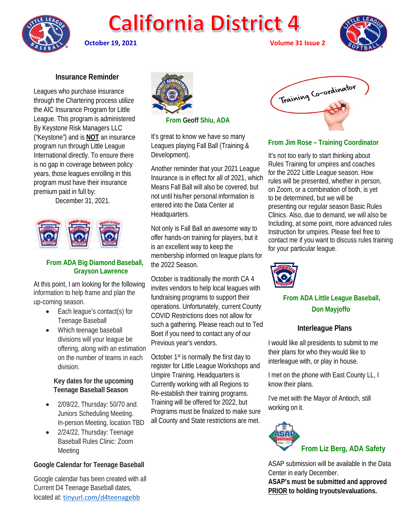

# **California District 4**

**October 19, 2021 Volume 31 Issue 2**



 **Insurance Reminder**

Leagues who purchase insurance through the Chartering process utilize the AIC Insurance Program for Little League. This program is administered By Keystone Risk Managers LLC ("Keystone") and is **NOT** an insurance program run through Little League International directly. To ensure there is no gap in coverage between policy years, those leagues enrolling in this program must have their insurance premium paid in full by:

December 31, 2021.



## **From ADA Big Diamond Baseball, Grayson Lawrence**

At this point, I am looking for the following information to help frame and plan the up-coming season.

- Each league's contact(s) for Teenage Baseball
- Which teenage baseball divisions will your league be offering, along with an estimation on the number of teams in each division.

#### **Key dates for the upcoming Teenage Baseball Season**

- 2/09/22, Thursday: 50/70 and. Juniors Scheduling Meeting. In-person Meeting, location TBD
- 2/24/22, Thursday: Teenage Baseball Rules Clinic: Zoom Meeting

### **Google Calendar for Teenage Baseball**

Google calendar has been created with all Current D4 Teenage Baseball dates, located at: [tinyurl.com/d4teenagebb](https://na01.safelinks.protection.outlook.com/?url=https%3A%2F%2Ftinyurl.com%2Fd4teenagebb&data=04%7C01%7C%7C49a1fd41f41f4d4daac308d9923d8d2f%7C84df9e7fe9f640afb435aaaaaaaaaaaa%7C1%7C0%7C637701615322899461%7CUnknown%7CTWFpbGZsb3d8eyJWIjoiMC4wLjAwMDAiLCJQIjoiV2luMzIiLCJBTiI6Ik1haWwiLCJXVCI6Mn0%3D%7C1000&sdata=g146HgV%2Fiu4gW4BTrRtmx4WGfS8U6NY%2B5BqK43VmXcY%3D&reserved=0)



 **From Geoff Shiu, ADA**

It's great to know we have so many Leagues playing Fall Ball (Training & Development).

Another reminder that your 2021 League Insurance is in effect for all of 2021, which Means Fall Ball will also be covered, but not until his/her personal information is entered into the Data Center at Headquarters.

Not only is Fall Ball an awesome way to offer hands-on training for players, but it is an excellent way to keep the membership informed on league plans for the 2022 Season.

October is traditionally the month CA 4 invites vendors to help local leagues with fundraising programs to support their operations. Unfortunately, current County COVID Restrictions does not allow for such a gathering. Please reach out to Ted Boet if you need to contact any of our Previous year's vendors.

October 1st is normally the first day to register for Little League Workshops and Umpire Training. Headquarters is Currently working with all Regions to Re-establish their training programs. Training will be offered for 2022, but Programs must be finalized to make sure all County and State restrictions are met.



**From Jim Rose – Training Coordinator**

It's not too early to start thinking about Rules Training for umpires and coaches for the 2022 Little League season. How rules will be presented, whether in person, on Zoom, or a combination of both, is yet to be determined, but we will be presenting our regular season Basic Rules Clinics. Also, due to demand, we will also be Including, at some point, more advanced rules Instruction for umpires. Please feel free to contact me if you want to discuss rules training for your particular league.



# **From ADA Little League Baseball, Don Mayjoffo**

## **Interleague Plans**

I would like all presidents to submit to me their plans for who they would like to interleague with, or play in house.

I met on the phone with East County LL, I know their plans.

I've met with the Mayor of Antioch, still working on it.



ASAP submission will be available in the Data Center in early December. **ASAP's must be submitted and approved PRIOR to holding tryouts/evaluations.**